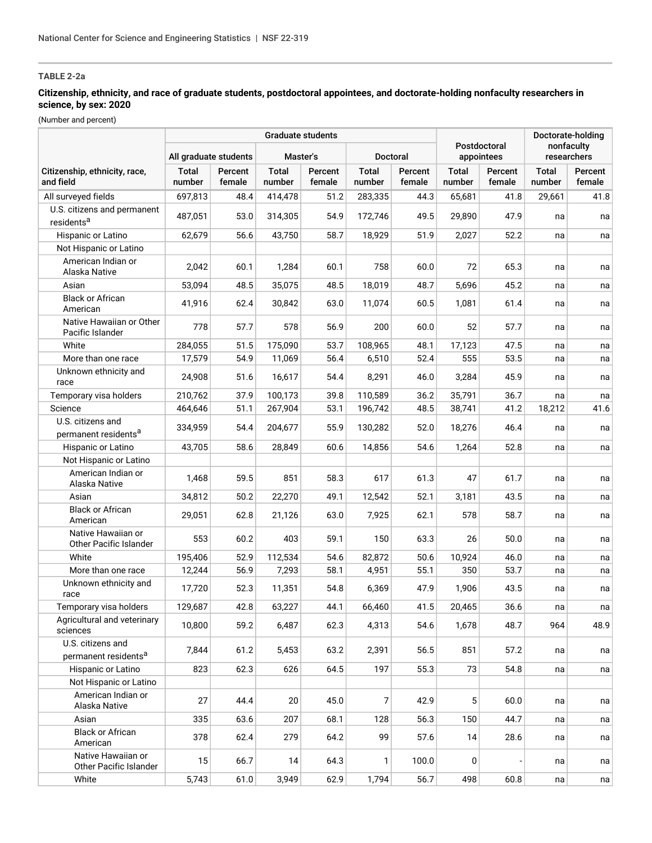## **Citizenship, ethnicity, and race of graduate students, postdoctoral appointees, and doctorate-holding nonfaculty researchers in science, by sex: 2020**

|                                                       |                       |                   | <b>Graduate students</b> |                   |                        | Doctorate-holding |                            |                   |                           |                   |
|-------------------------------------------------------|-----------------------|-------------------|--------------------------|-------------------|------------------------|-------------------|----------------------------|-------------------|---------------------------|-------------------|
|                                                       | All graduate students |                   | Master's                 |                   | <b>Doctoral</b>        |                   | Postdoctoral<br>appointees |                   | nonfaculty<br>researchers |                   |
| Citizenship, ethnicity, race,<br>and field            | Total<br>number       | Percent<br>female | <b>Total</b><br>number   | Percent<br>female | <b>Total</b><br>number | Percent<br>female | <b>Total</b><br>number     | Percent<br>female | <b>Total</b><br>number    | Percent<br>female |
| All surveyed fields                                   | 697,813               | 48.4              | 414,478                  | 51.2              | 283,335                | 44.3              | 65,681                     | 41.8              | 29,661                    | 41.8              |
| U.S. citizens and permanent                           |                       |                   |                          |                   |                        |                   |                            |                   |                           |                   |
| residents <sup>a</sup>                                | 487,051               | 53.0              | 314,305                  | 54.9              | 172,746                | 49.5              | 29,890                     | 47.9              | na                        | na                |
| Hispanic or Latino                                    | 62,679                | 56.6              | 43,750                   | 58.7              | 18,929                 | 51.9              | 2,027                      | 52.2              | na                        | na                |
| Not Hispanic or Latino                                |                       |                   |                          |                   |                        |                   |                            |                   |                           |                   |
| American Indian or<br>Alaska Native                   | 2,042                 | 60.1              | 1,284                    | 60.1              | 758                    | 60.0              | 72                         | 65.3              | na                        | na                |
| Asian                                                 | 53,094                | 48.5              | 35,075                   | 48.5              | 18,019                 | 48.7              | 5,696                      | 45.2              | na                        | na                |
| <b>Black or African</b><br>American                   | 41,916                | 62.4              | 30,842                   | 63.0              | 11,074                 | 60.5              | 1,081                      | 61.4              | na                        | na                |
| Native Hawaiian or Other<br>Pacific Islander          | 778                   | 57.7              | 578                      | 56.9              | 200                    | 60.0              | 52                         | 57.7              | na                        | na                |
| White                                                 | 284,055               | 51.5              | 175,090                  | 53.7              | 108,965                | 48.1              | 17,123                     | 47.5              | na                        | na                |
| More than one race                                    | 17,579                | 54.9              | 11,069                   | 56.4              | 6,510                  | 52.4              | 555                        | 53.5              | na                        | na                |
| Unknown ethnicity and<br>race                         | 24,908                | 51.6              | 16,617                   | 54.4              | 8,291                  | 46.0              | 3,284                      | 45.9              | na                        | na                |
| Temporary visa holders                                | 210,762               | 37.9              | 100,173                  | 39.8              | 110,589                | 36.2              | 35,791                     | 36.7              | na                        | na                |
| Science                                               | 464,646               | 51.1              | 267,904                  | 53.1              | 196,742                | 48.5              | 38,741                     | 41.2              | 18,212                    | 41.6              |
| U.S. citizens and<br>permanent residents <sup>a</sup> | 334,959               | 54.4              | 204,677                  | 55.9              | 130,282                | 52.0              | 18,276                     | 46.4              | na                        | na                |
| Hispanic or Latino                                    | 43,705                | 58.6              | 28,849                   | 60.6              | 14,856                 | 54.6              | 1,264                      | 52.8              | na                        | na                |
| Not Hispanic or Latino                                |                       |                   |                          |                   |                        |                   |                            |                   |                           |                   |
| American Indian or<br>Alaska Native                   | 1,468                 | 59.5              | 851                      | 58.3              | 617                    | 61.3              | 47                         | 61.7              | na                        | na                |
| Asian                                                 | 34,812                | 50.2              | 22,270                   | 49.1              | 12,542                 | 52.1              | 3,181                      | 43.5              | na                        | na                |
| <b>Black or African</b><br>American                   | 29,051                | 62.8              | 21,126                   | 63.0              | 7,925                  | 62.1              | 578                        | 58.7              | na                        | na                |
| Native Hawaiian or<br>Other Pacific Islander          | 553                   | 60.2              | 403                      | 59.1              | 150                    | 63.3              | 26                         | 50.0              | na                        | na                |
| White                                                 | 195,406               | 52.9              | 112,534                  | 54.6              | 82,872                 | 50.6              | 10,924                     | 46.0              | na                        | na                |
| More than one race                                    | 12,244                | 56.9              | 7,293                    | 58.1              | 4,951                  | 55.1              | 350                        | 53.7              | na                        | na                |
| Unknown ethnicity and<br>race                         | 17,720                | 52.3              | 11,351                   | 54.8              | 6,369                  | 47.9              | 1,906                      | 43.5              | na                        | na                |
| Temporary visa holders                                | 129,687               | 42.8              | 63,227                   | 44.1              | 66,460                 | 41.5              | 20,465                     | 36.6              | na                        | na                |
| Agricultural and veterinary<br>sciences               | 10,800                | 59.2              | 6,487                    | 62.3              | 4,313                  | 54.6              | 1,678                      | 48.7              | 964                       | 48.9              |
| U.S. citizens and<br>permanent residents <sup>a</sup> | 7,844                 | 61.2              | 5,453                    | 63.2              | 2,391                  | 56.5              | 851                        | 57.2              | na                        | na                |
| Hispanic or Latino                                    | 823                   | 62.3              | 626                      | 64.5              | 197                    | 55.3              | 73                         | 54.8              | na                        | na                |
| Not Hispanic or Latino                                |                       |                   |                          |                   |                        |                   |                            |                   |                           |                   |
| American Indian or<br>Alaska Native                   | 27                    | 44.4              | 20                       | 45.0              | 7                      | 42.9              | 5                          | 60.0              | na                        | na                |
| Asian                                                 | 335                   | 63.6              | 207                      | 68.1              | 128                    | 56.3              | 150                        | 44.7              | na                        | na                |
| <b>Black or African</b><br>American                   | 378                   | 62.4              | 279                      | 64.2              | 99                     | 57.6              | 14                         | 28.6              | na                        | na                |
| Native Hawaiian or<br>Other Pacific Islander          | 15                    | 66.7              | 14                       | 64.3              | 1                      | 100.0             | 0                          |                   | na                        | na                |
| White                                                 | 5,743                 | 61.0              | 3,949                    | 62.9              | 1,794                  | 56.7              | 498                        | 60.8              | na                        | na                |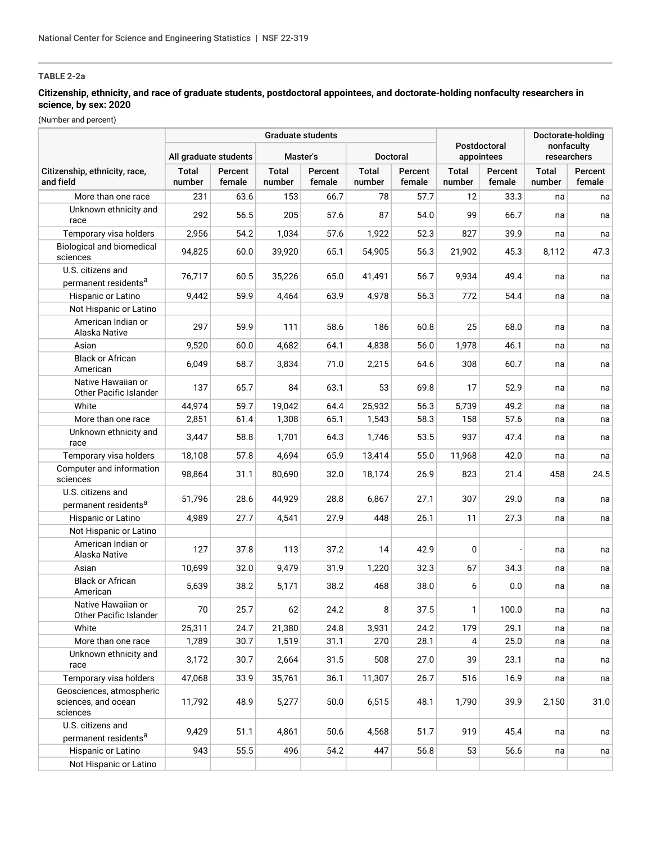## **Citizenship, ethnicity, and race of graduate students, postdoctoral appointees, and doctorate-holding nonfaculty researchers in science, by sex: 2020**

|                                                             |                        |                   | <b>Graduate students</b> |                   |                        |                   | Doctorate-holding      |                            |                        |                           |
|-------------------------------------------------------------|------------------------|-------------------|--------------------------|-------------------|------------------------|-------------------|------------------------|----------------------------|------------------------|---------------------------|
|                                                             | All graduate students  |                   | Master's                 |                   |                        | Doctoral          |                        | Postdoctoral<br>appointees |                        | nonfaculty<br>researchers |
| Citizenship, ethnicity, race,<br>and field                  | <b>Total</b><br>number | Percent<br>female | <b>Total</b><br>number   | Percent<br>female | <b>Total</b><br>number | Percent<br>female | <b>Total</b><br>number | Percent<br>female          | <b>Total</b><br>number | Percent<br>female         |
| More than one race                                          | 231                    | 63.6              | 153                      | 66.7              | 78                     | 57.7              | 12                     | 33.3                       | na                     | na                        |
| Unknown ethnicity and<br>race                               | 292                    | 56.5              | 205                      | 57.6              | 87                     | 54.0              | 99                     | 66.7                       | na                     | na                        |
| Temporary visa holders                                      | 2,956                  | 54.2              | 1,034                    | 57.6              | 1,922                  | 52.3              | 827                    | 39.9                       | na                     | na                        |
| Biological and biomedical<br>sciences                       | 94,825                 | 60.0              | 39,920                   | 65.1              | 54,905                 | 56.3              | 21,902                 | 45.3                       | 8,112                  | 47.3                      |
| U.S. citizens and<br>permanent residents <sup>a</sup>       | 76,717                 | 60.5              | 35,226                   | 65.0              | 41,491                 | 56.7              | 9,934                  | 49.4                       | na                     | na                        |
| Hispanic or Latino                                          | 9,442                  | 59.9              | 4,464                    | 63.9              | 4,978                  | 56.3              | 772                    | 54.4                       | na                     | na                        |
| Not Hispanic or Latino                                      |                        |                   |                          |                   |                        |                   |                        |                            |                        |                           |
| American Indian or<br>Alaska Native                         | 297                    | 59.9              | 111                      | 58.6              | 186                    | 60.8              | 25                     | 68.0                       | na                     | na                        |
| Asian                                                       | 9,520                  | 60.0              | 4,682                    | 64.1              | 4,838                  | 56.0              | 1,978                  | 46.1                       | na                     | na                        |
| <b>Black or African</b><br>American                         | 6,049                  | 68.7              | 3,834                    | 71.0              | 2,215                  | 64.6              | 308                    | 60.7                       | na                     | na                        |
| Native Hawaiian or<br>Other Pacific Islander                | 137                    | 65.7              | 84                       | 63.1              | 53                     | 69.8              | 17                     | 52.9                       | na                     | na                        |
| White                                                       | 44,974                 | 59.7              | 19,042                   | 64.4              | 25,932                 | 56.3              | 5,739                  | 49.2                       | na                     | na                        |
| More than one race                                          | 2,851                  | 61.4              | 1,308                    | 65.1              | 1,543                  | 58.3              | 158                    | 57.6                       | na                     | na                        |
| Unknown ethnicity and<br>race                               | 3,447                  | 58.8              | 1,701                    | 64.3              | 1,746                  | 53.5              | 937                    | 47.4                       | na                     | na                        |
| Temporary visa holders                                      | 18,108                 | 57.8              | 4,694                    | 65.9              | 13,414                 | 55.0              | 11,968                 | 42.0                       | na                     | na                        |
| Computer and information<br>sciences                        | 98,864                 | 31.1              | 80,690                   | 32.0              | 18,174                 | 26.9              | 823                    | 21.4                       | 458                    | 24.5                      |
| U.S. citizens and<br>permanent residents <sup>a</sup>       | 51,796                 | 28.6              | 44,929                   | 28.8              | 6,867                  | 27.1              | 307                    | 29.0                       | na                     | na                        |
| Hispanic or Latino                                          | 4,989                  | 27.7              | 4,541                    | 27.9              | 448                    | 26.1              | 11                     | 27.3                       | na                     | na                        |
| Not Hispanic or Latino                                      |                        |                   |                          |                   |                        |                   |                        |                            |                        |                           |
| American Indian or<br>Alaska Native                         | 127                    | 37.8              | 113                      | 37.2              | 14                     | 42.9              | 0                      |                            | na                     | na                        |
| Asian                                                       | 10,699                 | 32.0              | 9,479                    | 31.9              | 1,220                  | 32.3              | 67                     | 34.3                       | na                     | na                        |
| <b>Black or African</b><br>American                         | 5,639                  | 38.2              | 5,171                    | 38.2              | 468                    | 38.0              | 6                      | 0.0                        | na                     | na                        |
| Native Hawaiian or<br>Other Pacific Islander                | 70                     | 25.7              | 62                       | 24.2              | 8                      | 37.5              | 1                      | 100.0                      | na                     | na                        |
| White                                                       | 25,311                 | 24.7              | 21,380                   | 24.8              | 3,931                  | 24.2              | 179                    | 29.1                       | na                     | na                        |
| More than one race                                          | 1,789                  | 30.7              | 1,519                    | 31.1              | 270                    | 28.1              | 4                      | 25.0                       | na                     | na                        |
| Unknown ethnicity and<br>race                               | 3,172                  | 30.7              | 2,664                    | 31.5              | 508                    | 27.0              | 39                     | 23.1                       | na                     | na                        |
| Temporary visa holders                                      | 47,068                 | 33.9              | 35,761                   | 36.1              | 11,307                 | 26.7              | 516                    | 16.9                       | na                     | na                        |
| Geosciences, atmospheric<br>sciences, and ocean<br>sciences | 11,792                 | 48.9              | 5,277                    | 50.0              | 6,515                  | 48.1              | 1,790                  | 39.9                       | 2,150                  | 31.0                      |
| U.S. citizens and<br>permanent residents <sup>a</sup>       | 9,429                  | 51.1              | 4,861                    | 50.6              | 4,568                  | 51.7              | 919                    | 45.4                       | na                     | na                        |
| Hispanic or Latino                                          | 943                    | 55.5              | 496                      | 54.2              | 447                    | 56.8              | 53                     | 56.6                       | na                     | na                        |
| Not Hispanic or Latino                                      |                        |                   |                          |                   |                        |                   |                        |                            |                        |                           |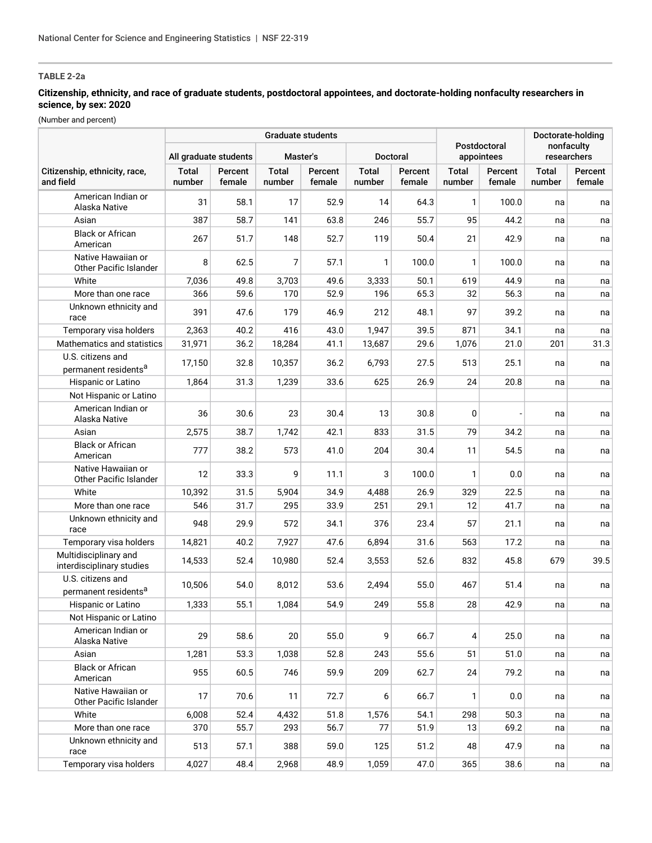## **Citizenship, ethnicity, and race of graduate students, postdoctoral appointees, and doctorate-holding nonfaculty researchers in science, by sex: 2020**

|                                                       |                        |                   | <b>Graduate students</b> | Postdoctoral      |                        | Doctorate-holding |                 |                   |                           |                   |
|-------------------------------------------------------|------------------------|-------------------|--------------------------|-------------------|------------------------|-------------------|-----------------|-------------------|---------------------------|-------------------|
|                                                       | All graduate students  |                   |                          | Master's          |                        | Doctoral          |                 | appointees        | nonfaculty<br>researchers |                   |
| Citizenship, ethnicity, race,<br>and field            | <b>Total</b><br>number | Percent<br>female | Total<br>number          | Percent<br>female | <b>Total</b><br>number | Percent<br>female | Total<br>number | Percent<br>female | <b>Total</b><br>number    | Percent<br>female |
| American Indian or<br>Alaska Native                   | 31                     | 58.1              | 17                       | 52.9              | 14                     | 64.3              | 1               | 100.0             | na                        | na                |
| Asian                                                 | 387                    | 58.7              | 141                      | 63.8              | 246                    | 55.7              | 95              | 44.2              | na                        | na                |
| <b>Black or African</b><br>American                   | 267                    | 51.7              | 148                      | 52.7              | 119                    | 50.4              | 21              | 42.9              | na                        | na                |
| Native Hawaiian or<br>Other Pacific Islander          | 8                      | 62.5              | 7                        | 57.1              | 1                      | 100.0             | 1               | 100.0             | na                        | na                |
| White                                                 | 7,036                  | 49.8              | 3,703                    | 49.6              | 3,333                  | 50.1              | 619             | 44.9              | na                        | na                |
| More than one race                                    | 366                    | 59.6              | 170                      | 52.9              | 196                    | 65.3              | 32              | 56.3              | na                        | na                |
| Unknown ethnicity and<br>race                         | 391                    | 47.6              | 179                      | 46.9              | 212                    | 48.1              | 97              | 39.2              | na                        | na                |
| Temporary visa holders                                | 2,363                  | 40.2              | 416                      | 43.0              | 1,947                  | 39.5              | 871             | 34.1              | na                        | na                |
| Mathematics and statistics                            | 31,971                 | 36.2              | 18,284                   | 41.1              | 13,687                 | 29.6              | 1,076           | 21.0              | 201                       | 31.3              |
| U.S. citizens and<br>permanent residents <sup>a</sup> | 17,150                 | 32.8              | 10,357                   | 36.2              | 6,793                  | 27.5              | 513             | 25.1              | na                        | na                |
| Hispanic or Latino                                    | 1,864                  | 31.3              | 1,239                    | 33.6              | 625                    | 26.9              | 24              | 20.8              | na                        | na                |
| Not Hispanic or Latino                                |                        |                   |                          |                   |                        |                   |                 |                   |                           |                   |
| American Indian or<br>Alaska Native                   | 36                     | 30.6              | 23                       | 30.4              | 13                     | 30.8              | 0               |                   | na                        | na                |
| Asian                                                 | 2,575                  | 38.7              | 1,742                    | 42.1              | 833                    | 31.5              | 79              | 34.2              | na                        | na                |
| <b>Black or African</b><br>American                   | 777                    | 38.2              | 573                      | 41.0              | 204                    | 30.4              | 11              | 54.5              | na                        | na                |
| Native Hawaiian or<br>Other Pacific Islander          | 12                     | 33.3              | 9                        | 11.1              | 3                      | 100.0             | 1               | 0.0               | na                        | na                |
| White                                                 | 10,392                 | 31.5              | 5,904                    | 34.9              | 4,488                  | 26.9              | 329             | 22.5              | na                        | na                |
| More than one race                                    | 546                    | 31.7              | 295                      | 33.9              | 251                    | 29.1              | 12              | 41.7              | na                        | na                |
| Unknown ethnicity and<br>race                         | 948                    | 29.9              | 572                      | 34.1              | 376                    | 23.4              | 57              | 21.1              | na                        | na                |
| Temporary visa holders                                | 14,821                 | 40.2              | 7,927                    | 47.6              | 6,894                  | 31.6              | 563             | 17.2              | na                        | na                |
| Multidisciplinary and<br>interdisciplinary studies    | 14,533                 | 52.4              | 10,980                   | 52.4              | 3,553                  | 52.6              | 832             | 45.8              | 679                       | 39.5              |
| U.S. citizens and<br>permanent residents <sup>a</sup> | 10,506                 | 54.0              | 8,012                    | 53.6              | 2,494                  | 55.0              | 467             | 51.4              | na                        | na                |
| Hispanic or Latino                                    | 1,333                  | 55.1              | 1,084                    | 54.9              | 249                    | 55.8              | 28              | 42.9              | na                        | na                |
| Not Hispanic or Latino                                |                        |                   |                          |                   |                        |                   |                 |                   |                           |                   |
| American Indian or<br>Alaska Native                   | 29                     | 58.6              | 20                       | 55.0              | 9                      | 66.7              | 4               | 25.0              | na                        | na                |
| Asian                                                 | 1,281                  | 53.3              | 1,038                    | 52.8              | 243                    | 55.6              | 51              | 51.0              | na                        | na                |
| <b>Black or African</b><br>American                   | 955                    | 60.5              | 746                      | 59.9              | 209                    | 62.7              | 24              | 79.2              | na                        | na                |
| Native Hawaiian or<br>Other Pacific Islander          | 17                     | 70.6              | 11                       | 72.7              | 6                      | 66.7              | 1               | 0.0               | na                        | na                |
| White                                                 | 6,008                  | 52.4              | 4,432                    | 51.8              | 1,576                  | 54.1              | 298             | 50.3              | na                        | na                |
| More than one race                                    | 370                    | 55.7              | 293                      | 56.7              | 77                     | 51.9              | 13              | 69.2              | na                        | na                |
| Unknown ethnicity and<br>race                         | 513                    | 57.1              | 388                      | 59.0              | 125                    | 51.2              | 48              | 47.9              | na                        | na                |
| Temporary visa holders                                | 4,027                  | 48.4              | 2,968                    | 48.9              | 1,059                  | 47.0              | 365             | 38.6              | na                        | na                |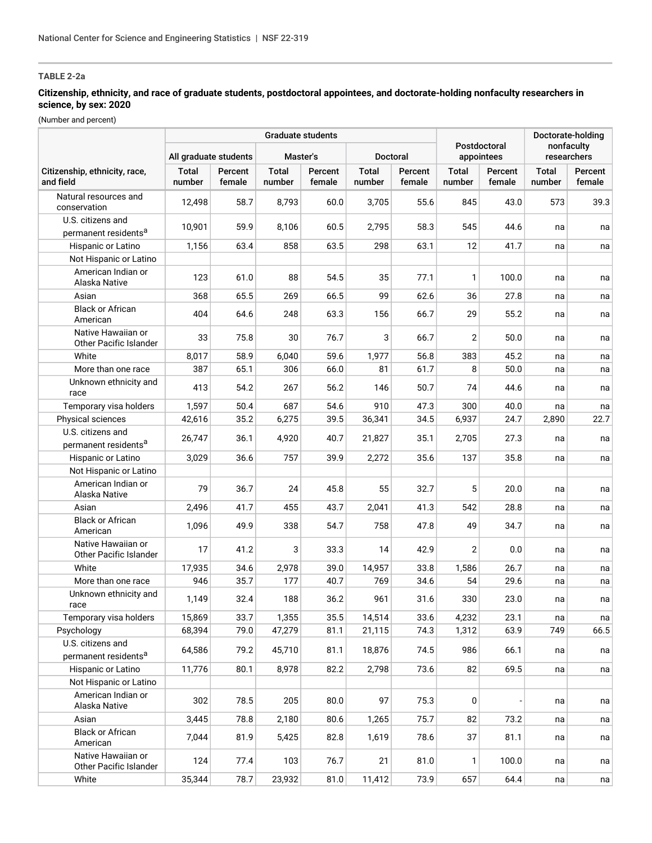## **Citizenship, ethnicity, and race of graduate students, postdoctoral appointees, and doctorate-holding nonfaculty researchers in science, by sex: 2020**

|                                                       |                       |                   | <b>Graduate students</b> |                   |                        | Doctorate-holding |                        |                            |                 |                           |
|-------------------------------------------------------|-----------------------|-------------------|--------------------------|-------------------|------------------------|-------------------|------------------------|----------------------------|-----------------|---------------------------|
|                                                       | All graduate students |                   | Master's                 |                   | Doctoral               |                   |                        | Postdoctoral<br>appointees |                 | nonfaculty<br>researchers |
| Citizenship, ethnicity, race,<br>and field            | Total<br>number       | Percent<br>female | <b>Total</b><br>number   | Percent<br>female | <b>Total</b><br>number | Percent<br>female | <b>Total</b><br>number | Percent<br>female          | Total<br>number | Percent<br>female         |
| Natural resources and<br>conservation                 | 12,498                | 58.7              | 8,793                    | 60.0              | 3,705                  | 55.6              | 845                    | 43.0                       | 573             | 39.3                      |
| U.S. citizens and<br>permanent residents <sup>a</sup> | 10,901                | 59.9              | 8,106                    | 60.5              | 2,795                  | 58.3              | 545                    | 44.6                       | na              | na                        |
| Hispanic or Latino                                    | 1,156                 | 63.4              | 858                      | 63.5              | 298                    | 63.1              | 12                     | 41.7                       | na              | na                        |
| Not Hispanic or Latino                                |                       |                   |                          |                   |                        |                   |                        |                            |                 |                           |
| American Indian or<br>Alaska Native                   | 123                   | 61.0              | 88                       | 54.5              | 35                     | 77.1              | 1                      | 100.0                      | na              | na                        |
| Asian                                                 | 368                   | 65.5              | 269                      | 66.5              | 99                     | 62.6              | 36                     | 27.8                       | na              | na                        |
| <b>Black or African</b><br>American                   | 404                   | 64.6              | 248                      | 63.3              | 156                    | 66.7              | 29                     | 55.2                       | na              | na                        |
| Native Hawaiian or<br>Other Pacific Islander          | 33                    | 75.8              | 30                       | 76.7              | 3                      | 66.7              | $\overline{2}$         | 50.0                       | na              | na                        |
| White                                                 | 8,017                 | 58.9              | 6,040                    | 59.6              | 1,977                  | 56.8              | 383                    | 45.2                       | na              | na                        |
| More than one race                                    | 387                   | 65.1              | 306                      | 66.0              | 81                     | 61.7              | 8                      | $50.0$                     | na              | na                        |
| Unknown ethnicity and<br>race                         | 413                   | 54.2              | 267                      | 56.2              | 146                    | 50.7              | 74                     | 44.6                       | na              | na                        |
| Temporary visa holders                                | 1,597                 | 50.4              | 687                      | 54.6              | 910                    | 47.3              | 300                    | 40.0                       | na              | na                        |
| Physical sciences                                     | 42,616                | 35.2              | 6,275                    | 39.5              | 36,341                 | 34.5              | 6,937                  | 24.7                       | 2,890           | 22.7                      |
| U.S. citizens and<br>permanent residents <sup>a</sup> | 26,747                | 36.1              | 4,920                    | 40.7              | 21,827                 | 35.1              | 2,705                  | 27.3                       | na              | na                        |
| Hispanic or Latino                                    | 3,029                 | 36.6              | 757                      | 39.9              | 2,272                  | 35.6              | 137                    | 35.8                       | na              | na                        |
| Not Hispanic or Latino                                |                       |                   |                          |                   |                        |                   |                        |                            |                 |                           |
| American Indian or<br>Alaska Native                   | 79                    | 36.7              | 24                       | 45.8              | 55                     | 32.7              | 5                      | 20.0                       | na              | na                        |
| Asian                                                 | 2,496                 | 41.7              | 455                      | 43.7              | 2,041                  | 41.3              | 542                    | 28.8                       | na              | na                        |
| <b>Black or African</b><br>American                   | 1,096                 | 49.9              | 338                      | 54.7              | 758                    | 47.8              | 49                     | 34.7                       | na              | na                        |
| Native Hawaiian or<br>Other Pacific Islander          | 17                    | 41.2              | 3                        | 33.3              | 14                     | 42.9              | $\overline{2}$         | 0.0                        | na              | na                        |
| White                                                 | 17,935                | 34.6              | 2,978                    | 39.0              | 14,957                 | 33.8              | 1,586                  | 26.7                       | na              | na                        |
| More than one race                                    | 946                   | 35.7              | 177                      | 40.7              | 769                    | 34.6              | 54                     | 29.6                       | na              | na                        |
| Unknown ethnicity and<br>race                         | 1,149                 | 32.4              | 188                      | 36.2              | 961                    | 31.6              | 330                    | 23.0                       | na              | na                        |
| Temporary visa holders                                | 15,869                | 33.7              | 1,355                    | 35.5              | 14,514                 | 33.6              | 4,232                  | 23.1                       | na              | na                        |
| Psychology                                            | 68,394                | 79.0              | 47,279                   | 81.1              | 21,115                 | 74.3              | 1,312                  | 63.9                       | 749             | 66.5                      |
| U.S. citizens and<br>permanent residents <sup>a</sup> | 64,586                | 79.2              | 45,710                   | 81.1              | 18,876                 | 74.5              | 986                    | 66.1                       | na              | na                        |
| Hispanic or Latino                                    | 11,776                | 80.1              | 8,978                    | 82.2              | 2,798                  | 73.6              | 82                     | 69.5                       | na              | na                        |
| Not Hispanic or Latino                                |                       |                   |                          |                   |                        |                   |                        |                            |                 |                           |
| American Indian or<br>Alaska Native                   | 302                   | 78.5              | 205                      | 80.0              | 97                     | 75.3              | 0                      |                            | na              | na                        |
| Asian                                                 | 3,445                 | 78.8              | 2,180                    | 80.6              | 1,265                  | 75.7              | 82                     | 73.2                       | na              | na                        |
| <b>Black or African</b><br>American                   | 7,044                 | 81.9              | 5,425                    | 82.8              | 1,619                  | 78.6              | 37                     | 81.1                       | na              | na                        |
| Native Hawaiian or<br>Other Pacific Islander          | 124                   | 77.4              | 103                      | 76.7              | 21                     | 81.0              | 1                      | 100.0                      | na              | na                        |
| White                                                 | 35,344                | 78.7              | 23,932                   | 81.0              | 11,412                 | 73.9              | 657                    | 64.4                       | na              | na                        |